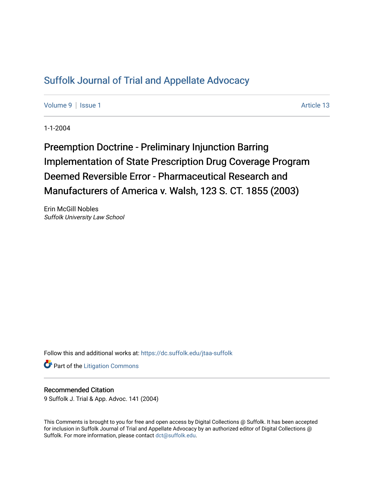## [Suffolk Journal of Trial and Appellate Advocacy](https://dc.suffolk.edu/jtaa-suffolk)

[Volume 9](https://dc.suffolk.edu/jtaa-suffolk/vol9) | [Issue 1](https://dc.suffolk.edu/jtaa-suffolk/vol9/iss1) Article 13

1-1-2004

Preemption Doctrine - Preliminary Injunction Barring Implementation of State Prescription Drug Coverage Program Deemed Reversible Error - Pharmaceutical Research and Manufacturers of America v. Walsh, 123 S. CT. 1855 (2003).

Erin McGill Nobles Suffolk University Law School

Follow this and additional works at: [https://dc.suffolk.edu/jtaa-suffolk](https://dc.suffolk.edu/jtaa-suffolk?utm_source=dc.suffolk.edu%2Fjtaa-suffolk%2Fvol9%2Fiss1%2F13&utm_medium=PDF&utm_campaign=PDFCoverPages) 

**Part of the [Litigation Commons](https://network.bepress.com/hgg/discipline/910?utm_source=dc.suffolk.edu%2Fjtaa-suffolk%2Fvol9%2Fiss1%2F13&utm_medium=PDF&utm_campaign=PDFCoverPages)** 

## Recommended Citation

9 Suffolk J. Trial & App. Advoc. 141 (2004)

This Comments is brought to you for free and open access by Digital Collections @ Suffolk. It has been accepted for inclusion in Suffolk Journal of Trial and Appellate Advocacy by an authorized editor of Digital Collections @ Suffolk. For more information, please contact [dct@suffolk.edu.](mailto:dct@suffolk.edu)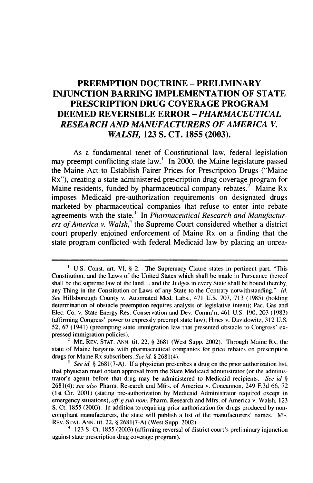## **PREEMPTION DOCTRINE - PRELIMINARY INJUNCTION BARRING IMPLEMENTATION OF STATE PRESCRIPTION DRUG COVERAGE PROGRAM DEEMED REVERSIBLE ERROR -** *PHARMACEUTICAL RESEARCH AND MANUFACTURERS OF AMERICA V. WALSH,* **123 S. CT. 1855 (2003).**

As a fundamental tenet of Constitutional law, federal legislation may preempt conflicting state law.' In 2000, the Maine legislature passed the Maine Act to Establish Fairer Prices for Prescription Drugs ("Maine Rx"), creating a state-administered prescription drug coverage program for Maine residents, funded by pharmaceutical company rebates.<sup>2</sup> Maine Rx imposes Medicaid pre-authorization requirements on designated drugs marketed **by** pharmaceutical companies that refuse to enter into rebate agreements with the state.<sup>3</sup> In *Pharmaceutical Research and Manufacturers of America v. Walsh,<sup>4</sup>*the Supreme Court considered whether a district court properly enjoined enforcement of Maine Rx on a finding that the state program conflicted with federal Medicaid law **by** placing an unrea-

<sup>&</sup>lt;sup>1</sup> U.S. Const. art. VI, § 2. The Supremacy Clause states in pertinent part, "This Constitution, and the Laws of the United States which shall be made in Pursuance thereof shall be the supreme law of the land ... and the Judges in every State shall be bound thereby, any Thing in the Constitution or Laws of any State to the Contrary notwithstanding." Id. See Hillsborough County v. Automated Med. Labs., 471 U.S. 707, 713 (1985) (holding determination of obstacle preemption requires analysis of legislative intent); Pac. Gas and Elec. Co. v. State Energy Res. Conservation and Dev. Comm'n, 461 U.S. 190, 203 (1983) (affirming Congress' power to expressly preempt state law); Hines v. Davidowitz, 312 U.S. 52, 67 (1941) (preempting state immigration law that presented obstacle to Congress' expressed immigration policies).

 $2^2$  ME. REV. STAT. ANN. tit. 22, § 2681 (West Supp. 2002). Through Maine Rx, the state of Maine bargains with pharmaceutical companies for price rebates on prescription drugs for Maine Rx subscribers. See id. § 2681(4).

*See id.* § 2681(7-A). If a physician prescribes a drug on the prior authorization list, that physician must obtain approval from the State Medicaid administrator (or the administrator's agent) before that drug may be administered to Medicaid recipients. See id  $\S$ 2681(4); see also Pharm. Research and Mfrs. of America v. Concannon, 249 F.3d 66, 72 (lst Cir. 2001) (stating pre-authorization by Medicaid Administrator required except in emergency situations), *tff'g* sub nom. Pharm. Research and Mfrs. of America v. Walsh, **<sup>123</sup>** S. Ct. 1855 (2003). In addition to requiring prior authorization for drugs produced by noncompliant manufacturers, the state will publish a list of the manufacturers' names. ME. REv. STAT. ANN. tit. 22, § 2681(7-A) (West Supp. 2002).

**<sup>4</sup>** 123 **S.** Ct. 1855 (2003) (affirming reversal of district court's preliminary injunction against state prescription drug coverage program).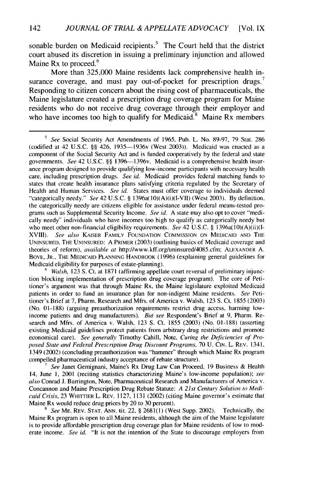sonable burden on Medicaid recipients.<sup>5</sup> The Court held that the district court abused its discretion in issuing a preliminary injunction and allowed Maine Rx to proceed.<sup>6</sup>

More than 325,000 Maine residents lack comprehensive health insurance coverage, and must pay out-of-pocket for prescription drugs.<sup>7</sup> Responding to citizen concern about the rising cost of pharmaceuticals, the Maine legislature created a prescription drug coverage program for Maine residents who do not receive drug coverage through their employer and who have incomes too high to qualify for Medicaid.<sup>8</sup> Maine Rx members

<sup>&</sup>lt;sup>5</sup> See Social Security Act Amendments of 1965, Pub. L. No. 89-97, 79 Stat. 286 (codified at 42 U.S.C. §§ 426, 1935-1936v (West 2003)). Medicaid was enacted as a component of the Social Security Act and is funded cooperatively by the federal and state governments. See 42 U.S.C. §§ 1396-1396v. Medicaid is a comprehensive health insurance program designed to provide qualifying low-income participants with necessary health care, including prescription drugs. See id. Medicaid provides federal matching funds to states that create health insurance plans satisfying criteria regulated by the Secretary of Health and Human Services. See id. States must offer coverage to individuals deemed "categorically needy." See 42 U.S.C. § 1396a(10)(A)(i)(I-VII) (West 2003). By definition, the categorically needy are citizens eligible for assistance under federal means-tested programs such as Supplemental Security Income. See id. A state may also opt to cover "medically needy" individuals who have incomes too high to qualify as categorically needy but who meet other non-financial eligibility requirements. See 42 U.S.C. § 1396a(10)(A)(ii)(I-XVIII). See also KAISER FAMILY FOUNDATION COMMISSION ON MEDICAID AND THE UNINSURED, THE UNINSURED: A PRIMER (2003) (outlining basics of Medicaid coverage and theories of reform), available *at* http://www.kff.org/uninsured/4085.cfm; ALEXANDER A. BoVE, JR., THE **MEDICAID PLANNING** HANDBOOK (1996) (explaining general guidelines for Medicaid eligibility for purposes of estate-planning).

<sup>&</sup>lt;sup>6</sup> *Walsh*, 123 S. Ct. at 1871 (affirming appellate court reversal of preliminary injunction blocking implementation of prescription drug coverage program). The core of Petitioner's argument was that through Maine Rx, the Maine legislature exploited Medicaid patients in order to fund an insurance plan for non-indigent Maine residents. *See* Petitioner's Brief at 7, Pharm. Research and Mfrs. of America v. Walsh, 123 **S.** Ct. 1855 (2003) (No. 01-188) (arguing preauthorization requirements restrict drug access, harming lowincome patients and drug manufacturers). *But see* Respondent's Brief at 9, Pharm. Research and Mfrs. of America v. Walsh, 123 **S.** Ct. 1855 (2003) (No. 01-188) (asserting existing Medicaid guidelines protect patients from arbitrary drug restrictions and promote economical care). *See* generally Timothy Cahill, Note, Curing *the Deficiencies of Proposed State and Federal Prescription Drug Discount Programs,* 70 U. CIN. L. REV. 1341, 1349 (2002) (concluding preauthorization was "hammer" through which Maine Rx program compelled pharmaceutical industry acceptance of rebate structure).

<sup>7</sup> *See* Janet Gemignani, Maine's Rx Drug Law Can Proceed, 19 Business & Health 14, June i, 2001 (reciting statistics characterizing Maine's low-income population); *see also* Conrad J. Barrington, Note, Pharmaceutical Research and Manufacturers of America v. Concannon and Maine Prescription Drug Rebate Statute: A 21st *Centurn Solution to Medicaid Crisis,* 23 WHITTIER L. REV. 1127, 1131 (2002) (citing Maine governor's estimate that Maine Rx would reduce drug prices by 20 to 30 percent).

**<sup>8</sup>** *See* ME. REV. **STAT.** ANN. tit. 22, § 2681(1) (West Supp. 2002). Technically, the Maine Rx program is open to all Maine residents, although the aim of the Maine legislature is to provide affordable prescription drug coverage plan for Maine residents of low to moderate income. *See id.* "It is not the intention of the State to discourage employers from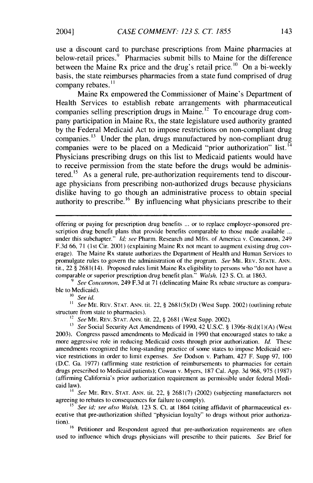use a discount card to purchase prescriptions from Maine pharmacies at below-retail prices.<sup>9</sup> Pharmacies submit bills to Maine for the difference between the Maine Rx price and the drug's retail price.<sup>10</sup> On a bi-weekly basis, the state reimburses pharmacies from a state fund comprised of drug company rebates.<sup>11</sup>

Maine Rx empowered the Commissioner of Maine's Department of Health Services to establish rebate arrangements with pharmaceutical companies selling prescription drugs in Maine.<sup>12</sup> To encourage drug company participation in Maine Rx, the state legislature used authority granted by the Federal Medicaid Act to impose restrictions on non-compliant drug companies.<sup>13</sup> Under the plan, drugs manufactured by non-compliant drug companies were to be placed on a Medicaid "prior authorization" list.<sup>14</sup> Physicians prescribing drugs on this list to Medicaid patients would have to receive permission from the state before the drugs would be administered.<sup>15</sup> As a general rule, pre-authorization requirements tend to discourage physicians from prescribing non-authorized drugs because physicians dislike having to go though an administrative process to obtain special authority to prescribe.<sup>16</sup> By influencing what physicians prescribe to their

*9 See Concannon,* 249 F.3d at 71 (delineating Maine Rx rebate structure as comparable to Medicaid).

*'0* See id.

*11 See* ME. REV. STAT. ANN. tit. 22, § 2681(5)(D) (West Supp. 2002) (outlining rebate structure from state to pharmacies).

12 *See* ME. REV. STAT. ANN. tit. 22, § 2681 (West Supp. 2002).

*<sup>13</sup>See* Social Security Act Amendments of 1990, 42 U.S.C. § 1396r-8(d)(1)(A) (West 2003). Congress passed amendments to Medicaid in 1990 that encouraged states to take a more aggressive role in reducing Medicaid costs through prior authorization. *Id.* These amendments recognized the long-standing practice of some states to impose Medicaid service restrictions in order to limit expenses. *See* Dodson v. Parham, 427 F. Supp 97, 100 (D.C. Ga. 1977) (affirming state restriction of reimbursements to pharmacies for certain drugs prescribed to Medicaid patients); Cowan v. Myers, 187 Cal. App. 3d 968, 975 (1987) (affirming California's prior authorization requirement as permissible under federal Medicaid law).

<sup>14</sup>*See* ME. REV. STAT. ANN. tit. 22, § 268i(7) (2002) (subjecting manufacturers not agreeing to rebates to consequences for failure to comply).

*15* See id; see also Walsh, 123 **S.** Ct. at 1864 (citing affidavit of pharmaceutical executive that pre-authorization shifted "physician loyalty" to drugs without prior authorization).<br><sup>16</sup> Petitioner and Respondent agreed that pre-authorization requirements are ofter

used to influence which drugs physicians will prescribe to their patients. *See* Brief for

offering or paying for prescription drug benefits ... or to replace employer-sponsored prescription drug benefit plans that provide benefits comparable to those made available **...** under this subchapter." *Id;* see Pharm. Research and Mfrs. of America v. Concannon, 249 F.3d 66, 71 **(1st** Cir. 2001) (explaining Maine Rx not meant to augment existing drug coverage). The Maine Rx statute authorizes the Department of Health and Human Services to promulgate rules to govern the administration of the program. *See* ME. REV. STATE. ANN. tit., 22 § 2681(14). Proposed rules limit Maine Rx eligibility to persons who "'do not have a comparable or superior prescription drug benefit plan." *Walsh,* 123 **S.** Ct. at 1863.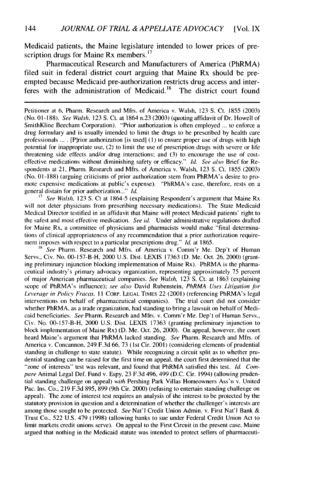Medicaid patients, the Maine legislature intended to lower prices of prescription drugs for Maine Rx members. **<sup>1</sup> 7**

Pharmaceutical Research and Manufacturers of America (PhRMA) filed suit in federal district court arguing that Maine Rx should be preempted because Medicaid pre-authorization restricts drug access and inter-<br>feres with the administration of Medicaid.<sup>18</sup> The district court found feres with the administration of Medicaid.<sup>18</sup>

Petitioner at 6, Pharm. Research and Mfrs. of America v. Walsh, 123 S. Ct. 1855 (2003) (No. 01-188). See Walsh, 123 **S.** Ct. at 1864 n.23 (2003) (quoting affidavit of Dr. Howell of SmithKline Beecham Corporation). "Prior authorization is often employed ... to enforce a drug formulary and is usually intended to limit the drugs to be prescribed by health care professionals ... . [Pirior authorization [is used] **(1)** to ensure proper use of drugs with high potential for inappropriate use, (2) to limit the use of prescription drugs with severe or life threatening side effects and/or drug interactions; and (3) to encourage the use of costeffective medications without diminishing safety or efficacy." *Id. See also* Brief for Respondents at 21, Pharm. Research and Mfrs. of America v. Walsh, 123 **S.** Ct. 1855 (2003) (No. 01-188) (arguing criticisms of prior authorization stem from PhRMA's desire to promote expensive medications at public's expense). "PhRMA's case, therefore, rests on a general distain for prior authorization..." *Id.*

**<sup>17</sup>***See* Walsh, 123 S. Ct at 1864-5 (explaining Respondent's argument that Maine Rx will not deter physicians from prescribing necessary medications). The State Medicaid Medical Director testified in an affidavit that Maine will protect Medicaid patients' right to the safest and most effective medication. *See* id. Under administrative regulations drafted for Maine Rx, a committee of physicians and pharmacists would make "final determinations of clinical appropriateness of any recommendation that a prior authorization requirement imposes with respect to a particular prescriptions drug." *Id.* at 1865.

<sup>18</sup> *See* Pharm. Research and Mfrs. of America v. Comm'r Me. Dep't of Human Servs., Civ. No. 00-157-B-H, 2000 U.S. Dist. LEXIS 17363 (D. Me. Oct. **26,** 2000) (granting preliminary injunction blocking implementation of Maine Rx). PhRMA is the pharmaceutical industry's primary advocacy organization, representing approximately 75 percent of major American pharmaceutical companies. *See Walsh,* 123 **S.** Ct. at 1863 (explaining scope of PhRMA's influence); see also David Rubenstein, PhRMA Uses Litigation for *Leverage in Policy Fracas, 11 CORP. LEGAL TIMES 22 (2001) (referencing PhRMA's legal* interventions on behalf of pharmaceutical companies). The trial court did not consider whether PhRMA, as a trade organization, had standing to bring a lawsuit on behalf of Medicaid beneficiaries. *See* Pharm. Research and Mfrs. v. Comm'r Me. Dep't of Human Servs., Civ. No. 00-157-B-H, 2000 U.S. Dist. LEXIS 17363 (granting preliminary injunction to block implementation of Maine Rx) (D. Me. Oct. 26, 2000). On appeal, however, the court heard Maine's argument that PhRMA lacked standing. *See* Pharm. Research and Mfrs. of America v. Concannon, 249 F.3d 66, 73 (1st Cir. 2001) (considering elements of prudential standing in challenge to state statute). While recognizing a circuit split as to whether prudential standing can be raised for the first time on appeal, the court first determined that the "zone of interests" test was relevant, and found that PhRMA satisfied this test. *Id. Com*pare Animal Legal Def. Fund v. Espy, 23 F.3d 496, 499 (D.C. Cir. 1994) (allowing prudential standing challenge on appeal) *with* Pershing Park Villas Homeowners Ass'n v. United Pac. Ins. Co., 219 F.3d 895, 899 (9th Cir. 2000) (refusing to entertain standing challenge on appeal). The zone of interest test requires an analysis of the interest to be protected by the statutory provision in question and a determination of whether the challenger's interests are among those sought to be protected. *See* Nat'l Credit Union Admin. v. First Nat'l Bank & Trust Co., 522 U.S. 479 (1998) (allowing banks to sue under Federal Credit Union Act to limit markets credit unions serve). On appeal to the First Circuit in the present case, Maine argued that nothing in the Medicaid statute was intended to protect sellers of pharmaceuti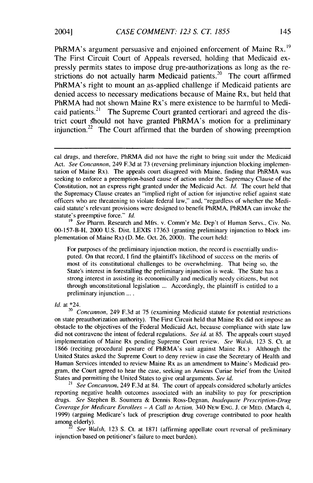PhRMA's argument persuasive and enjoined enforcement of Maine  $Rx$ .<sup>19</sup> The First Circuit Court of Appeals reversed, holding that Medicaid expressly permits states to impose drug pre-authorizations as long as the restrictions do not actually harm Medicaid patients.<sup>20</sup> The court affirmed PhRMA's right to mount an as-applied challenge if Medicaid patients are denied access to necessary medications because of Maine Rx, but held that PhRMA had not shown Maine Rx's mere existence to be harmful to Medicaid patients.<sup>21</sup> The Supreme Court granted certiorari and agreed the district court should not have granted PhRMA's motion for a preliminary iniunction.<sup>22</sup> The Court affirmed that the burden of showing preemption

*<sup>19</sup>See* Pharm. Research and Mfrs. v. Comm'r Me. Dep't of Human Servs., Civ. No. 00-157-B-H, 2000 U.S. Dist. LEXIS 17363 (granting preliminary injunction to block implementation of Maine Rx) (D. Me. Oct. 26, 2000). The court held:

For purposes of the preliminary injunction motion, the record is essentially undisputed. On that record, I find the plaintiffs likelihood of success on the merits of most of its constitutional challenges to be overwhelming. That being so, the State's interest in forestalling the preliminary injunction is weak. The State has a strong interest in assisting its economically and medically needy citizens, but not through unconstitutional legislation ... Accordingly, the plaintiff is entitled to a preliminary injunction ... .

Id. at \*24.

<sup>20</sup> Concannon, 249 F.3d at 75 (examining Medicaid statute for potential restrictions on state preauthorization authority). The First Circuit held that Maine Rx did not impose an obstacle to the objectives of the Federal Medicaid Act, because compliance with state law did not contravene the intent of federal regulations. *See* id. at 85. The appeals court stayed implementation of Maine Rx pending Supreme Court review. *See* Walsh, 123 **S.** Ct. at 1866 (reciting procedural posture of PhRMA's suit against Maine Rx.) Although the United States asked the Supreme Court to deny review in case the Secretary of Health and Human Services intended to review Maine Rx as an amendment to Maine's Medicaid program, the Court agreed to hear the case, seeking an Amicus Curiae brief from the United States and permitting the United States to give oral arguments. *See* id.

<sup>21</sup> See *Concannon*, 249 F.3d at 84. The court of appeals considered scholarly articles reporting negative health outcomes associated with an inability to pay for prescription drugs. *See* Stephen B. Soumera & Dennis Ross-Degnan, Inadequate Prescription-Drug Coverage for Medicare Enrollees - A Call to Action, 340 NEw ENG. **J.** OF MED. (March 4, 1999) (arguing Medicare's lack of prescription drug coverage contributed to poor health among elderly).

See Walsh, 123 S. Ct. at 1871 (affirming appellate court reversal of preliminary injunction based on petitioner's failure to meet burden).

cal drugs, and therefore, PhRMA did not have the right to bring suit under the Medicaid Act. See Concannon, 249 F.3d at 73 (reversing preliminary injunction blocking implementation of Maine Rx). The appeals court disagreed with Maine, finding that PhRMA was seeking to enforce a preemption-based cause of action under the Supremacy Clause of the Constitution, not an express right granted under the Medicaid Act. *Id.* The court held that the Supremacy Clause creates an "implied right of action for injunctive relief against state officers who are threatening to violate federal law," and, "regardless of whether the Medicaid statute's relevant provisions were designed to benefit PhRMA, PhRMA can invoke the statute's preemptive force." *Id.*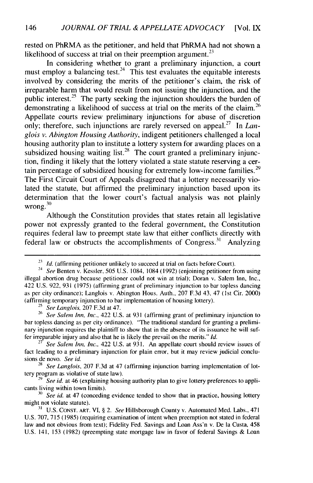rested on PhRMA as the petitioner, and held that PhRMA had not shown a likelihood of success at trial on their preemption argument.<sup>23</sup>

In considering whether to grant a preliminary injunction, a court must employ a balancing test.<sup>24</sup> This test evaluates the equitable interests involved by considering the merits of the petitioner's claim, the risk of irreparable harm that would result from not issuing the injunction, and the public interest.<sup>25</sup> The party seeking the injunction shoulders the burden of demonstrating a likelihood of success at trial on the merits of the claim.<sup>26</sup> Appellate courts review preliminary injunctions for abuse of discretion only; therefore, such injunctions are rarely reversed on appeal.<sup>27</sup> In *Langlois v. Abington Housing Authority,* indigent petitioners challenged a local housing authority plan to institute a lottery system for awarding places on a subsidized housing waiting list.<sup>28</sup> The court granted a preliminary injunction, finding it likely that the lottery violated a state statute reserving a certain percentage of subsidized housing for extremely low-income families.<sup>29</sup> The First Circuit Court of Appeals disagreed that a lottery necessarily violated the statute, but affirmed the preliminary injunction based upon its determination that the lower court's factual analysis was not plainly  $\frac{1}{20}$  wrong.<sup>30</sup>

Although the Constitution provides that states retain all legislative power not expressly granted to the federal government, the Constitution requires federal law to preempt state law that either conflicts directly with federal law or obstructs the accomplishments of Congress.<sup>31</sup> Analyzing

**25** See Langlois, 207 F.3d at 47.

<sup>26</sup> See Salem Inn, Inc., 422 U.S. at 931 (affirming grant of preliminary injunction to bar topless dancing as per city ordinance). "The traditional standard for granting a preliminary injunction requires the plaintiff to show that in the absence of its issuance he will suffer irreparable injury and also that he is likely the prevail on the merits." *Id.*

<sup>27</sup>*See Salem Inn, Inc.,* 422 U.S. at 931. An appellate court should review issues of fact leading to a preliminary injunction for plain error, but it may review judicial conclusions de novo. See id.

**28** *See Langlois,* 207 F.3d at 47 (affirming injunction barring implementation of lottery program as violative of state law).

<sup>3</sup> *See id.* at 46 (explaining housing authority plan to give lottery preferences to applicants living within town limits).

<sup>30</sup>*See id.* at 47 (conceding evidence tended to show that in practice, housing lottery might not violate statute).

**31** U.S. CONST. ART. VI, § 2. *See* Hillsborough County v. Automated Med. Labs., 471 U.S. 707, 715 (1985) (requiring examination of intent when preemption not stated in federal law and not obvious from text); Fidelity Fed. Savings and Loan Ass'n v. De la Custa, 458 U.S. 141, 153 (1982) (preempting state mortgage law in favor of federal Savings & Loan

**<sup>23</sup>** *Id.* (affirming petitioner unlikely to succeed at trial on facts before Court).

<sup>&</sup>lt;sup>24</sup> See Benten v. Kessler, 505 U.S. 1084, 1084 (1992) (enjoining petitioner from using illegal abortion drug because petitioner could not win at trial); Doran v. Salem Inn, Inc., 422 U.S. 922, 931 (1975) (affirming grant of preliminary injunction to bar topless dancing as per city ordinance); Langlois v. Abington Hous. Auth., 207 F.3d 43, 47 (1st Cir. 2000) (affirming temporary injunction to bar implementation of housing lottery).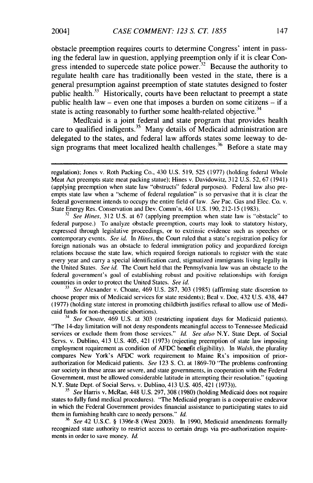obstacle preemption requires courts to determine Congress' intent in passing the federal law in question, applying preemption only if it is clear Congress intended to supercede state police power. $32$  Because the authority to regulate health care has traditionally been vested in the state, there is a general presumption against preemption of state statutes designed to foster public health. $33$  Historically, courts have been reluctant to preempt a state public health law – even one that imposes a burden on some citizens – if a state is acting reasonably to further some health-related objective.<sup>34</sup>

Medicaid is a joint federal and state program that provides health care to qualified indigents.<sup>35</sup> Many details of Medicaid administration are delegated to the states, and federal law affords states some leeway to design programs that meet localized health challenges.<sup>36</sup> Before a state may

<sup>32</sup> See Hines, 312 U.S. at 67 (applying preemption when state law is "obstacle" to federal purpose.) To analyze obstacle preemption, courts may look to statutory history, expressed through legislative proceedings, or to extrinsic evidence such as speeches or contemporary events. *See id. In Hines,* the Court ruled that a state's registration policy for foreign nationals was an obstacle to federal immigration policy and jeopardized foreign relations because the state law, which required foreign nationals to register with the state every year and carry a special identification card, stigmatized immigrants living legally in the United States. *See id.* The Court held that the Pennsylvania law was an obstacle to the federal government's goal of establishing robust and positive relationships with foreign countries in order to protect the United States. *See id.*

<sup>33</sup>*See* Alexander v. Choate, 469 U.S. 287, 303 (1985) (affirming state discretion to choose proper mix of Medicaid services for state residents); Beal v. Doe, 432 U.S. 438, 447 (1977) (holding state interest in promoting childbirth justifies refusal to allow use of Medicaid funds for non-therapeutic abortions).

<sup>34</sup>*See Choate,* 469 U.S. at 303 (restricting inpatient days for Medicaid patients). "The 14-day limitation will not deny respondents meaningful access to Tennessee Medicaid services or exclude them from those services." *Id. See also* N.Y. State Dept. of Social Servs. v. Dublino, 413 U.S. 405, 421 (1973) (rejecting preemption of state law imposing employment requirement as condition of AFDC benefit eligibility). In *Walsh,* the plurality compares New York's AFDC work requirement to Maine Rx's imposition of priorauthorization for Medicaid patients. *See* 123 **S.** Ct. at 1869-70 "The problems confronting our society in these areas are severe, and state governments, in cooperation with the Federal Government, must be allowed considerable latitude in attempting their resolution." (quoting N.Y. State Dept. of Social Servs. v. Dublino, 413 U.S. 405, 421 (1973)).

*<sup>35</sup>See* Harris v. McRae, 448 U.S. 297, 308 (1980) (holding Medicaid does not require states to fully fund medical procedures). "The Medicaid program is a cooperative endeavor in which the Federal Government provides financial assistance to participating states to aid them in furnishing health care to needy persons." *Id.*

<sup>36</sup>*See* 42 U.S.C. § 1396r-8 (West 2003). In 1990, Medicaid amendments formally recognized state authority to restrict access to certain drugs via pre-authorization requirements in order to save money. *Id.*

regulation); Jones v. Roth Packing Co., 430 U.S. 519, 525 (1977) (holding federal Whole Meat Act preempts state meat packing statue); Hines v. Davidowitz, 312 U.S. 52, 67 (1941) (applying preemption when state law "obstructs" federal purposes). Federal law also preempts state law when a "scheme of federal regulation" is so pervasive that it is clear the federal government intends to occupy the entire field of law. *See* Pac. Gas and Elec. Co. v. State Energy Res. Conservation and Dev. Comm'n, 461 U.S. 190, 212-15 (1983).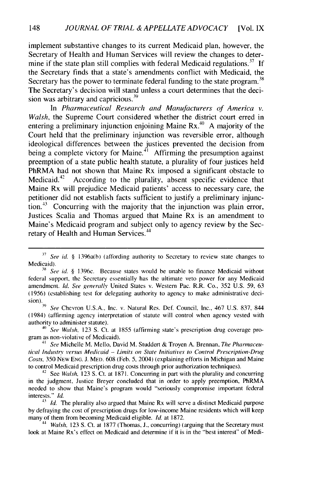implement substantive changes to its current Medicaid plan, however, the Secretary of Health and Human Services will review the changes to determine if the state plan still complies with federal Medicaid regulations.<sup>37</sup> If the Secretary finds that a state's amendments conflict with Medicaid, the Secretary has the power to terminate federal funding to the state program.<sup>38</sup> The Secretary's decision will stand unless a court determines that the deci-**<sup>39</sup>** sion was arbitrary and capricious.

In *Pharmaceutical Research and Manufacturers of America v. Walsh,* the Supreme Court considered whether the district court erred in entering a preliminary injunction enjoining Maine  $Rx<sup>40</sup>$  A majority of the Court held that the preliminary injunction was reversible error, although ideological differences between the justices prevented the decision from being a complete victory for Maine.<sup> $41$ </sup> Affirming the presumption against preemption of a state public health statute, a plurality of four justices held PhRMA had not shown that Maine Rx imposed a significant obstacle to Medicaid.<sup>42</sup> According to the plurality, absent specific evidence that Maine Rx will prejudice Medicaid patients' access to necessary care, the petitioner did not establish facts sufficient to justify a preliminary injunction.<sup>43</sup> Concurring with the majority that the injunction was plain error, Justices Scalia and Thomas argued that Maine Rx is an amendment to Maine's Medicaid program and subject only to agency review by the Secretary of Health and Human Services.<sup>44</sup>

*398* Chevron U.S.A., Inc. v. Natural Res. Def. Council, Inc., 467 U.S. 837, 844 (1984) (affirming agency interpretation of statute will control when agency vested with authority to administer statute).

<sup>40</sup> See Walsh, 123 S. Ct. at 1855 (affirming state's prescription drug coverage program as non-violative of Medicaid).

<sup>41</sup> See Michelle M. Mello, David M. Studdert & Troven A. Brennan, *The Pharmaceutical Industry versus Medicaid* - *Limits on State Initiatives to Control Prescription-Drug Costs,* 350 NEW **ENG. J.** MED. 608 (Feb. **5,** 2004) (explaining efforts in Michigan and Maine to control Medicaid prescription drug costs through prior authorization techniques).

 $42$  See Walsh, 123 S. Ct. at 1871. Concurring in part with the plurality and concurring in the judgment, Justice Breyer concluded that in order to apply preemption, PhRMA needed to show that Maine's program would "seriously compromise important federal interests." Id.

<sup>43</sup> *Id.* The plurality also argued that Maine Rx will serve a distinct Medicaid purpose by defraying the cost of prescription drugs for low-income Maine residents which will keep many of them from becoming Medicaid eligible, Id. at 1872.

*<sup>44</sup>*Walsh, 123 **S.** Ct. at 1877 (Thomas, **J.,** concurring) (arguing that the Secretary must look at Maine Rx's effect on Medicaid and determine if it is in the "best interest" of Medi-

*<sup>37</sup>*See *id.* § 1396a(b) (affording authority to Secretary to review state changes to Medicaid).

<sup>&</sup>lt;sup>38</sup> See *id.* § 1396c. Because states would be unable to finance Medicaid without federal support, the Secretary essentially has the ultimate veto power for any Medicaid amendment. **Id.** See generally United States v. Western Pac. R.R. Co., 352 U.S. 59, 63 (1956) (establishing test for delegating authority to agency to make administrative deci- $\frac{\sinh \theta}{39}$ .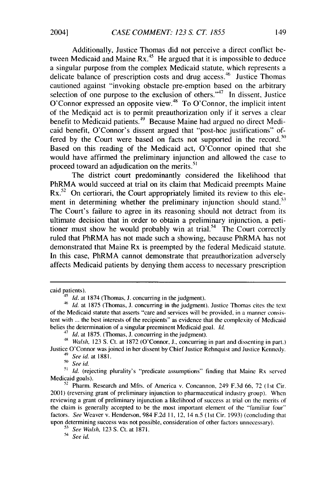Additionally, Justice Thomas did not perceive a direct conflict between Medicaid and Maine  $Rx<sup>45</sup>$  He argued that it is impossible to deduce a singular purpose from the complex Medicaid statute, which represents a delicate balance of prescription costs and drug access.<sup>46</sup> Justice Thomas cautioned against "invoking obstacle pre-emption based on the arbitrary selection of one purpose to the exclusion of others.<sup> $47$ </sup> In dissent, Justice O'Connor expressed an opposite view.<sup>48</sup> To O'Connor, the implicit intent of the Medicaid act is to permit preauthorization only if it serves a clear benefit to Medicaid patients.<sup>49</sup> Because Maine had argued no direct Medicaid benefit, O'Connor's dissent argued that "post-hoc justifications" offered by the Court were based on facts not supported in the record.<sup>50</sup> Based on this reading of the Medicaid act, O'Connor opined that she would have affirmed the preliminary injunction and allowed the case to proceed toward an adjudication on the merits.<sup>51</sup>

The district court predominantly considered the likelihood that PhRMA would succeed at trial on its claim that Medicaid preempts Maine  $Rx<sup>52</sup>$  On certiorari, the Court appropriately limited its review to this element in determining whether the preliminary injunction should stand.<sup>53</sup> The Court's failure to agree in its reasoning should not detract from its ultimate decision that in order to obtain a preliminary injunction, a petitioner must show he would probably win at trial.<sup>54</sup> The Court correctly ruled that PhRMA has not made such a showing, because PhRMA has not demonstrated that Maine Rx is preempted by the federal Medicaid statute. In this case, PhRMA cannot demonstrate that preauthorization adversely affects Medicaid patients by denying them access to necessary prescription

49 *See id.* at 1881.

<sup>50</sup>*See id.*

caid patients).

<sup>45</sup> *Id.* at 1874 (Thomas, **J.** concurring in the judgment).

<sup>46</sup>*Id.* at 1875 (Thomas, **J.** concurring in the judgment). Justice Thomas cites the text of the Medicaid statute that asserts "care and services will be provided, in a manner consistent with ... the best interests of the recipients" as evidence that the complexity of Medicaid belies the determination of a singular preeminent Medicaid goal. *hi.*

<sup>47</sup>*Id.* at 1875. (Thomas, **J.** concurring in the judgment).

<sup>49</sup>*Walsh,* 123 S. Ct. at 1872 (O'Connor, **J.,** concurring in part and dissenting in part.) Justice O'Connor was joined in her dissent by Chief Justice Rehnquist and Justice Kennedy.

**<sup>51</sup>***Id.* (rejecting plurality's "predicate assumptions" finding that Maine Rx served Medicaid goals).

<sup>&</sup>lt;sup>52</sup> Pharm. Research and Mfrs. of America v. Concannon, 249 F.3d 66, 72 (1st Cir. 2001) (reversing grant of preliminary injunction to pharmaceutical industry group). When reviewing a grant of preliminary injunction a likelihood of success at trial on the merits of the claim is generally accepted to be the most important element of the "familiar four" factors. *See* Weaver v. Henderson, 984 F.2d **11,** 12, 14 n.5 (1st Cir. 1993) (concluding that upon determining success was not possible, consideration of other factors unnecessary).

**<sup>53</sup>** *See Walsh,* 123 S. Ct. at 1871.

<sup>54</sup> *See id.*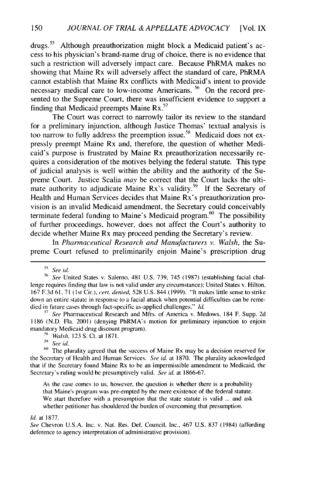$drugs.<sup>55</sup>$  Although preauthorization might block a Medicaid patient's access to his physician's brand-name drug of choice, there is no evidence that such a restriction will adversely impact care. Because PhRMA makes no showing that Maine Rx will adversely affect the standard of care, PhRMA cannot establish that Maine Rx conflicts with Medicaid's intent to provide necessary medical care to low-income Americans.<sup>56</sup> On the record presented to the Supreme Court, there was insufficient evidence to support a finding that Medicaid preempts Maine  $Rx^{57}$ 

The Court was correct to narrowly tailor its review to the standard for a preliminary injunction, although Justice Thomas' textual analysis is too narrow to fully address the preemption issue.<sup>58</sup> Medicaid does not expressly preempt Maine Rx and, therefore, the question of whether Medicaid's purpose is frustrated by Maine Rx preauthorization necessarily requires a consideration of the motives belying the federal statute. This type of judicial analysis is well within the ability and the authority of the Supreme Court. Justice Scalia may be correct that the Court lacks the ultimate authority to adjudicate Maine  $Rx$ 's validity.<sup>59</sup> If the Secretary of Health and Human Services decides that Maine Rx's preauthorization provision is an invalid Medicaid amendment, the Secretary could conceivably terminate federal funding to Maine's Medicaid program.<sup>60</sup> The possibility of further proceedings, however, does not affect the Court's authority to decide whether Maine Rx may proceed pending the Secretary's review.

In *Pharmaceutical Research and Manufacturers v. Walsh,* the Supreme Court refused to preliminarily enjoin Maine's prescription drug

<sup>57</sup> See Pharmaceutical Research and Mfrs. of America v. Medows, 184 F. Supp. 2d 1186 (N.D. Fla. 2001) (denying PhRMA's motion for preliminary injunction to enjoin mandatory Medicaid drug discount program).

<sup>59</sup> See id.

<sup>60</sup> The plurality agreed that the success of Maine Rx may be a decision reserved for the Secretary of Health and Human Services. *See id.* at 1870. The plurality acknowledged that if the Secretary found Maine Rx to be an impermissible amendment to Medicaid, the Secretary's ruling would be presumptively valid. *See id.* at 1866-67.

As the case comes to us, however, the question is whether there is a probability that Maine's program was pre-empted by the mere existence of the federal statute. We start therefore with a presumption that the state statute is valid ... and ask whether petitioner has shouldered the burden of overcoming that presumption.

## *Id.* at 1877.

*See* Chevron U.S.A. Inc. v. Nat. Res. Def. Council, Inc., 467 U.S. 837 (1984) (affording deference to agency interpretation of administrative provision).

**<sup>55</sup>** See *i.*

*<sup>56</sup>* See United States v. Salerno, 481 U.S. 739, 745 (1987) (establishing facial challenge requires finding that law is not valid under any circumstance); United States v. Hilton, 167 F.3d 61,71 **(1st** Cir.), *cert.* denied, 528 U.S. 844 (1999). "It makes little sense to strike down an entire statute in response to a facial attack when potential difficulties can be remedied in future cases through fact-specific as-applied challenges." *hi.*

S8 *Walsh,* 123 **S.** Ct. at 1871.